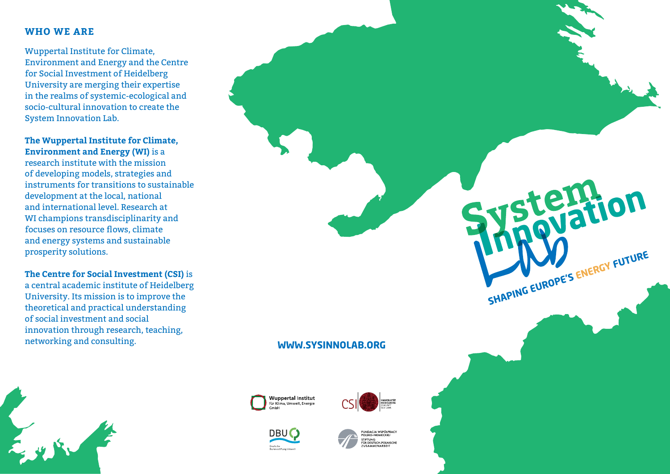#### **Who We Are**

Wuppertal Institute for Climate, Environment and Energy and the Centre for Social Investment of Heidelberg University are merging their expertise in the realms of systemic-ecological and socio-cultural innovation to create the System Innovation Lab.

# **The Wuppertal Institute for Climate, Environment and Energy (WI)** is a

research institute with the mission of developing models, strategies and instruments for transitions to sustainable development at the local, national and international level. Research at WI champions transdisciplinarity and focuses on resource flows, climate and energy systems and sustainable prosperity solutions.

**The Centre for Social Investment (CSI)** is a central academic institute of Heidelberg University. Its mission is to improve the theoretical and practical understanding of social investment and social innovation through research, teaching, networking and consulting. **www.sysinnolab.org**











temfion **Energy FutureShaping Europe's**